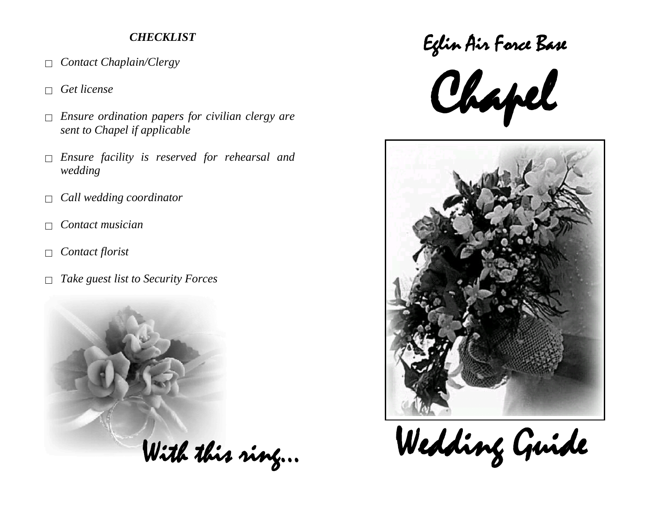# *CHECKLIST*

- *Contact Chaplain/Clergy*
- *Get license*
- *Ensure ordination papers for civilian clergy are sent to Chapel if applicable*
- *Ensure facility is reserved for rehearsal and wedding*
- *Call wedding coordinator*
- *Contact musician*
- *Contact florist*
- *Take guest list to Security Forces*



Eglin Air Force Base





With this ring… Wedding Guide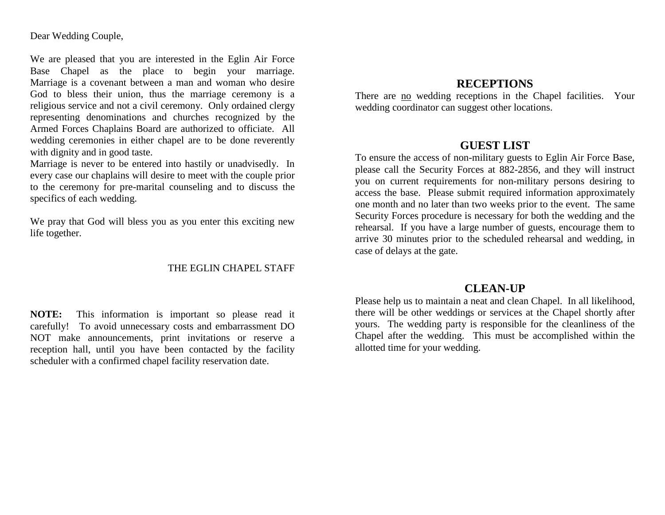Dear Wedding Couple,

We are pleased that you are interested in the Eglin Air Force Base Chapel as the place to begin your marriage. Marriage is a covenant between a man and woman who desire God to bless their union, thus the marriage ceremony is a religious service and not a civil ceremony. Only ordained clergy representing denominations and churches recognized by the Armed Forces Chaplains Board are authorized to officiate. All wedding ceremonies in either chapel are to be done reverently with dignity and in good taste.

Marriage is never to be entered into hastily or unadvisedly. In every case our chaplains will desire to meet with the couple prior to the ceremony for pre-marital counseling and to discuss the specifics of each wedding.

We pray that God will bless you as you enter this exciting new life together.

#### THE EGLIN CHAPEL STAFF

**NOTE:** This information is important so please read it carefully! To avoid unnecessary costs and embarrassment DO NOT make announcements, print invitations or reserve a reception hall, until you have been contacted by the facility scheduler with a confirmed chapel facility reservation date.

## **RECEPTIONS**

There are no wedding receptions in the Chapel facilities. Your wedding coordinator can suggest other locations.

### **GUEST LIST**

To ensure the access of non-military guests to Eglin Air Force Base, please call the Security Forces at 882-2856, and they will instruct you on current requirements for non-military persons desiring to access the base. Please submit required information approximately one month and no later than two weeks prior to the event. The same Security Forces procedure is necessary for both the wedding and the rehearsal. If you have a large number of guests, encourage them to arrive 30 minutes prior to the scheduled rehearsal and wedding, in case of delays at the gate.

### **CLEAN-UP**

Please help us to maintain a neat and clean Chapel. In all likelihood, there will be other weddings or services at the Chapel shortly after yours. The wedding party is responsible for the cleanliness of the Chapel after the wedding. This must be accomplished within the allotted time for your wedding.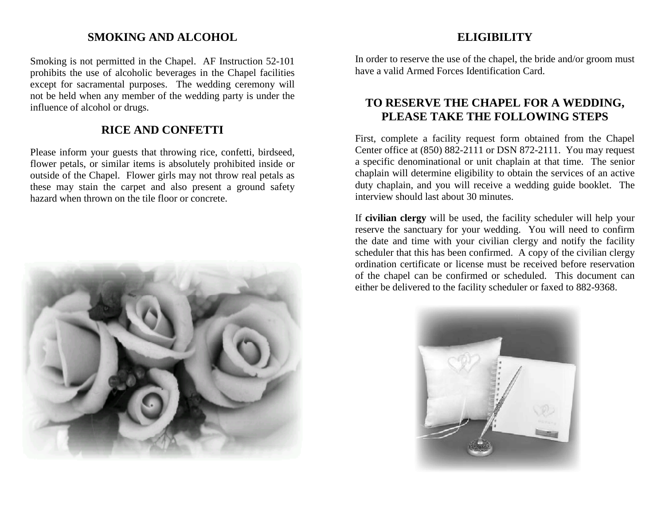## **SMOKING AND ALCOHOL**

Smoking is not permitted in the Chapel. AF Instruction 52-101 prohibits the use of alcoholic beverages in the Chapel facilities except for sacramental purposes. The wedding ceremony will not be held when any member of the wedding party is under the influence of alcohol or drugs.

# **RICE AND CONFETTI**

Please inform your guests that throwing rice, confetti, birdseed, flower petals, or similar items is absolutely prohibited inside or outside of the Chapel. Flower girls may not throw real petals as these may stain the carpet and also present a ground safety hazard when thrown on the tile floor or concrete.



# **ELIGIBILITY**

In order to reserve the use of the chapel, the bride and/or groom must have a valid Armed Forces Identification Card.

# **TO RESERVE THE CHAPEL FOR A WEDDING, PLEASE TAKE THE FOLLOWING STEPS**

First, complete a facility request form obtained from the Chapel Center office at (850) 882-2111 or DSN 872-2111. You may request a specific denominational or unit chaplain at that time. The senior chaplain will determine eligibility to obtain the services of an active duty chaplain, and you will receive a wedding guide booklet. The interview should last about 30 minutes.

If **civilian clergy** will be used, the facility scheduler will help your reserve the sanctuary for your wedding. You will need to confirm the date and time with your civilian clergy and notify the facility scheduler that this has been confirmed. A copy of the civilian clergy ordination certificate or license must be received before reservation of the chapel can be confirmed or scheduled. This document can either be delivered to the facility scheduler or faxed to 882-9368.

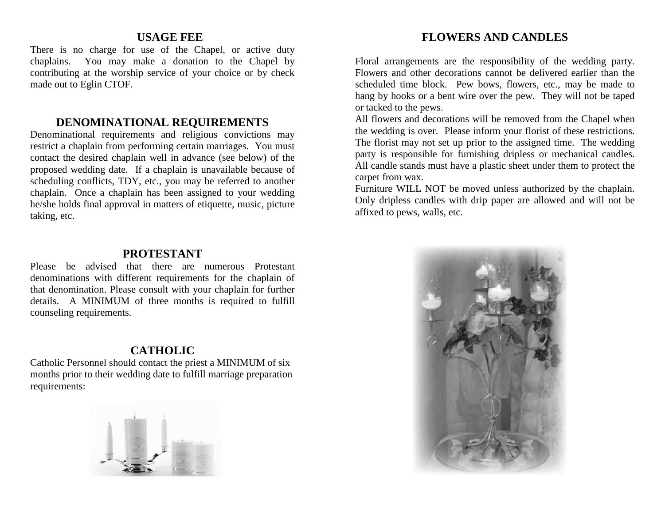### **USAGE FEE**

There is no charge for use of the Chapel, or active duty chaplains. You may make a donation to the Chapel by contributing at the worship service of your choice or by check made out to Eglin CTOF.

### **DENOMINATIONAL REQUIREMENTS**

Denominational requirements and religious convictions may restrict a chaplain from performing certain marriages. You must contact the desired chaplain well in advance (see below) of the proposed wedding date. If a chaplain is unavailable because of scheduling conflicts, TDY, etc., you may be referred to another chaplain. Once a chaplain has been assigned to your wedding he/she holds final approval in matters of etiquette, music, picture taking, etc.

#### **PROTESTANT**

Please be advised that there are numerous Protestant denominations with different requirements for the chaplain of that denomination. Please consult with your chaplain for further details. A MINIMUM of three months is required to fulfill counseling requirements.

## **CATHOLIC**

Catholic Personnel should contact the priest a MINIMUM of six months prior to their wedding date to fulfill marriage preparation requirements:



## **FLOWERS AND CANDLES**

Floral arrangements are the responsibility of the wedding party. Flowers and other decorations cannot be delivered earlier than the scheduled time block. Pew bows, flowers, etc., may be made to hang by hooks or a bent wire over the pew. They will not be taped or tacked to the pews.

All flowers and decorations will be removed from the Chapel when the wedding is over. Please inform your florist of these restrictions. The florist may not set up prior to the assigned time. The wedding party is responsible for furnishing dripless or mechanical candles. All candle stands must have a plastic sheet under them to protect the carpet from wax.

Furniture WILL NOT be moved unless authorized by the chaplain. Only dripless candles with drip paper are allowed and will not be affixed to pews, walls, etc.

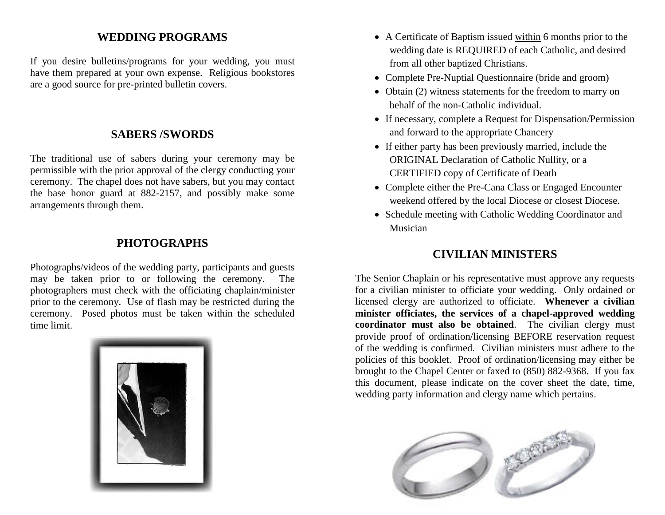## **WEDDING PROGRAMS**

If you desire bulletins/programs for your wedding, you must have them prepared at your own expense. Religious bookstores are a good source for pre-printed bulletin covers.

## **SABERS /SWORDS**

The traditional use of sabers during your ceremony may be permissible with the prior approval of the clergy conducting your ceremony. The chapel does not have sabers, but you may contact the base honor guard at 882-2157, and possibly make some arrangements through them.

## **PHOTOGRAPHS**

Photographs/videos of the wedding party, participants and guests may be taken prior to or following the ceremony. The photographers must check with the officiating chaplain/minister prior to the ceremony. Use of flash may be restricted during the ceremony. Posed photos must be taken within the scheduled time limit.



- A Certificate of Baptism issued within 6 months prior to the wedding date is REQUIRED of each Catholic, and desired from all other baptized Christians.
- Complete Pre-Nuptial Questionnaire (bride and groom)
- Obtain (2) witness statements for the freedom to marry on behalf of the non-Catholic individual.
- If necessary, complete a Request for Dispensation/Permission and forward to the appropriate Chancery
- If either party has been previously married, include the ORIGINAL Declaration of Catholic Nullity, or a CERTIFIED copy of Certificate of Death
- Complete either the Pre-Cana Class or Engaged Encounter weekend offered by the local Diocese or closest Diocese.
- Schedule meeting with Catholic Wedding Coordinator and Musician

# **CIVILIAN MINISTERS**

The Senior Chaplain or his representative must approve any requests for a civilian minister to officiate your wedding. Only ordained or licensed clergy are authorized to officiate. **Whenever a civilian minister officiates, the services of a chapel-approved wedding coordinator must also be obtained**. The civilian clergy must provide proof of ordination/licensing BEFORE reservation request of the wedding is confirmed. Civilian ministers must adhere to the policies of this booklet. Proof of ordination/licensing may either be brought to the Chapel Center or faxed to (850) 882-9368. If you fax this document, please indicate on the cover sheet the date, time, wedding party information and clergy name which pertains.

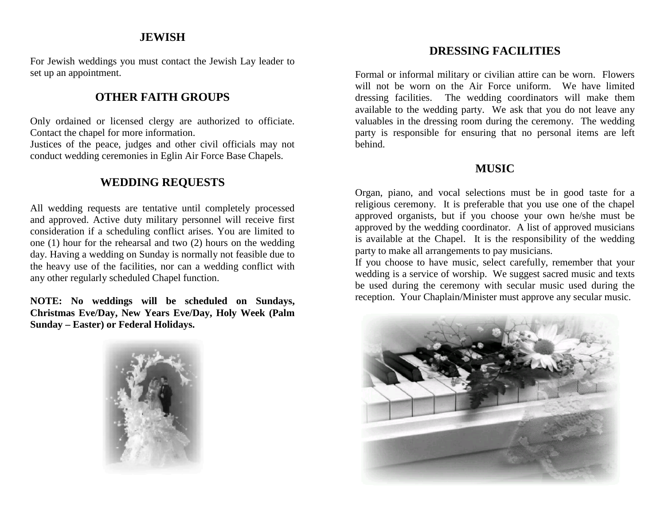#### **JEWISH**

For Jewish weddings you must contact the Jewish Lay leader to set up an appointment.

# **OTHER FAITH GROUPS**

Only ordained or licensed clergy are authorized to officiate. Contact the chapel for more information.

Justices of the peace, judges and other civil officials may not conduct wedding ceremonies in Eglin Air Force Base Chapels.

## **WEDDING REQUESTS**

All wedding requests are tentative until completely processed and approved. Active duty military personnel will receive first consideration if a scheduling conflict arises. You are limited to one (1) hour for the rehearsal and two (2) hours on the wedding day. Having a wedding on Sunday is normally not feasible due to the heavy use of the facilities, nor can a wedding conflict with any other regularly scheduled Chapel function.

**NOTE: No weddings will be scheduled on Sundays, Christmas Eve/Day, New Years Eve/Day, Holy Week (Palm Sunday – Easter) or Federal Holidays.**



## **DRESSING FACILITIES**

Formal or informal military or civilian attire can be worn. Flowers will not be worn on the Air Force uniform. We have limited dressing facilities. The wedding coordinators will make them available to the wedding party. We ask that you do not leave any valuables in the dressing room during the ceremony. The wedding party is responsible for ensuring that no personal items are left behind.

## **MUSIC**

Organ, piano, and vocal selections must be in good taste for a religious ceremony. It is preferable that you use one of the chapel approved organists, but if you choose your own he/she must be approved by the wedding coordinator. A list of approved musicians is available at the Chapel. It is the responsibility of the wedding party to make all arrangements to pay musicians.

If you choose to have music, select carefully, remember that your wedding is a service of worship. We suggest sacred music and texts be used during the ceremony with secular music used during the reception. Your Chaplain/Minister must approve any secular music.

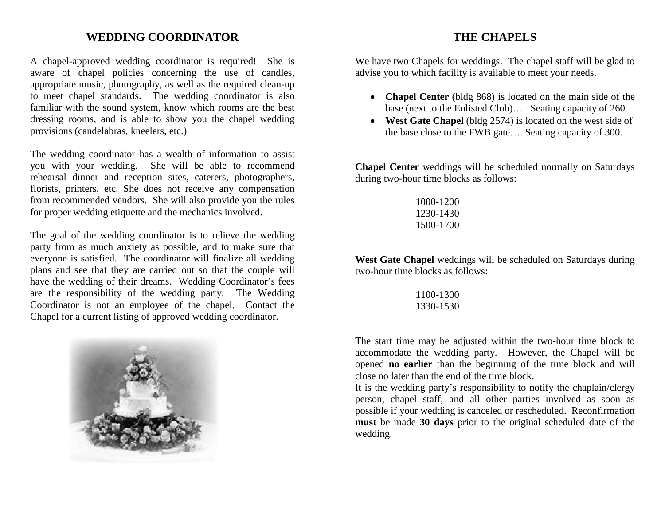### **WEDDING COORDINATOR**

A chapel-approved wedding coordinator is required! She is aware of chapel policies concerning the use of candles, appropriate music, photography, as well as the required clean-up to meet chapel standards. The wedding coordinator is also familiar with the sound system, know which rooms are the best dressing rooms, and is able to show you the chapel wedding provisions (candelabras, kneelers, etc.)

The wedding coordinator has a wealth of information to assist you with your wedding. She will be able to recommend rehearsal dinner and reception sites, caterers, photographers, florists, printers, etc. She does not receive any compensation from recommended vendors. She will also provide you the rules for proper wedding etiquette and the mechanics involved.

The goal of the wedding coordinator is to relieve the wedding party from as much anxiety as possible, and to make sure that everyone is satisfied. The coordinator will finalize all wedding plans and see that they are carried out so that the couple will have the wedding of their dreams. Wedding Coordinator's fees are the responsibility of the wedding party. The Wedding Coordinator is not an employee of the chapel. Contact the Chapel for a current listing of approved wedding coordinator.



## **THE CHAPELS**

We have two Chapels for weddings. The chapel staff will be glad to advise you to which facility is available to meet your needs.

- **Chapel Center** (bldg 868) is located on the main side of the base (next to the Enlisted Club)…. Seating capacity of 260.
- **West Gate Chapel** (bldg 2574) is located on the west side of the base close to the FWB gate…. Seating capacity of 300.

**Chapel Center** weddings will be scheduled normally on Saturdays during two-hour time blocks as follows:

| 1000-1200 |
|-----------|
| 1230-1430 |
| 1500-1700 |

**West Gate Chapel** weddings will be scheduled on Saturdays during two-hour time blocks as follows:

> 1100-1300 1330-1530

The start time may be adjusted within the two-hour time block to accommodate the wedding party. However, the Chapel will be opened **no earlier** than the beginning of the time block and will close no later than the end of the time block.

It is the wedding party's responsibility to notify the chaplain/clergy person, chapel staff, and all other parties involved as soon as possible if your wedding is canceled or rescheduled. Reconfirmation **must** be made **30 days** prior to the original scheduled date of the wedding.